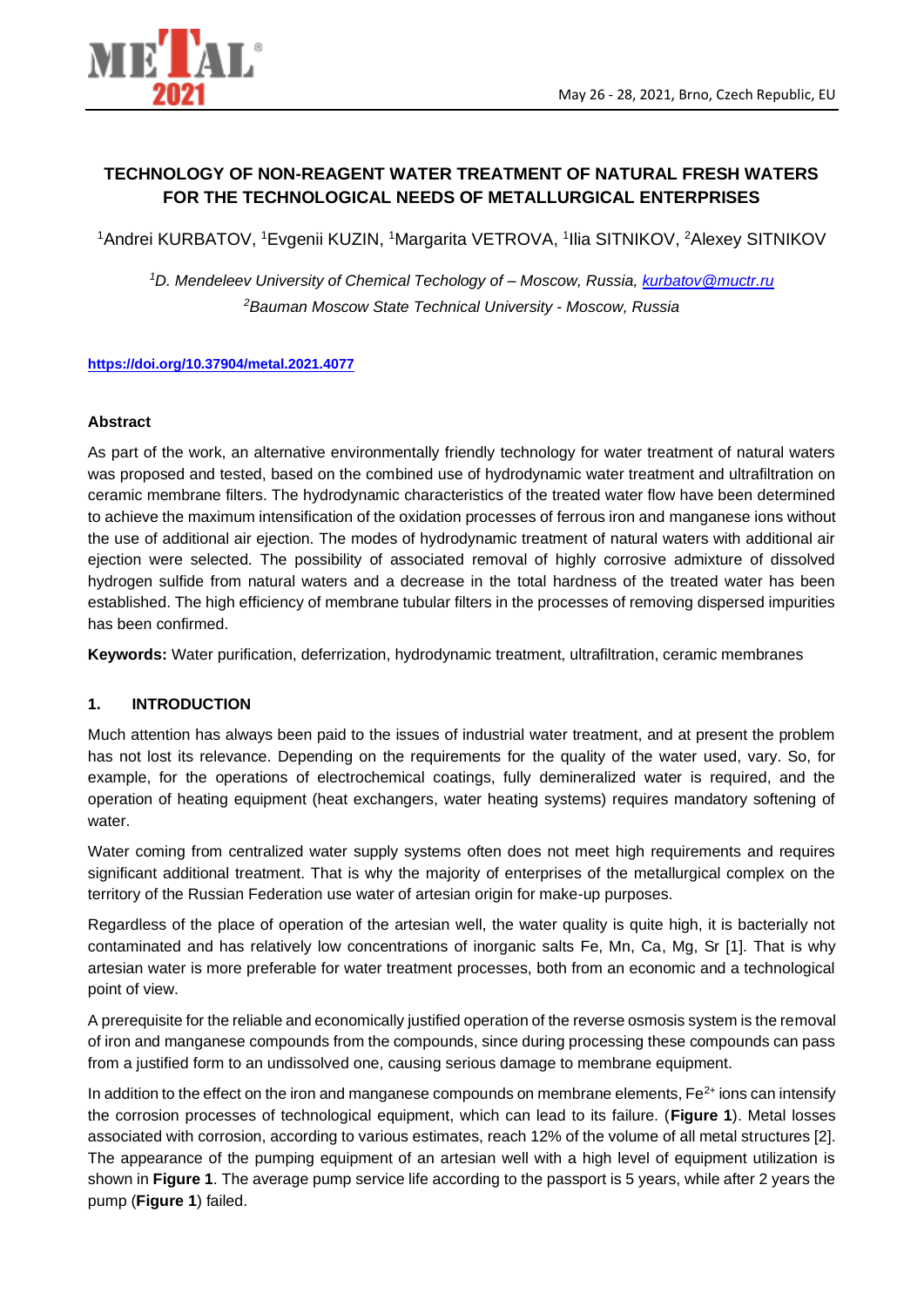

# **TECHNOLOGY OF NON-REAGENT WATER TREATMENT OF NATURAL FRESH WATERS FOR THE TECHNOLOGICAL NEEDS OF METALLURGICAL ENTERPRISES**

<sup>1</sup>Andrei KURBATOV, <sup>1</sup>Evgenii KUZIN, <sup>1</sup>Margarita VETROVA, <sup>1</sup>Ilia SITNIKOV, <sup>2</sup>Alexey SITNIKOV

*<sup>1</sup>D. Mendeleev University of Chemical Techology of – Moscow, Russia, [kurbatov@muctr.ru](file:///C:/Users/konference/AppData/Local/Temp/kurbatov@muctr.ru) <sup>2</sup>Bauman Moscow State Technical University - Moscow, Russia* 

#### **<https://doi.org/10.37904/metal.2021.4077>**

#### **Abstract**

As part of the work, an alternative environmentally friendly technology for water treatment of natural waters was proposed and tested, based on the combined use of hydrodynamic water treatment and ultrafiltration on ceramic membrane filters. The hydrodynamic characteristics of the treated water flow have been determined to achieve the maximum intensification of the oxidation processes of ferrous iron and manganese ions without the use of additional air ejection. The modes of hydrodynamic treatment of natural waters with additional air ejection were selected. The possibility of associated removal of highly corrosive admixture of dissolved hydrogen sulfide from natural waters and a decrease in the total hardness of the treated water has been established. The high efficiency of membrane tubular filters in the processes of removing dispersed impurities has been confirmed.

**Keywords:** Water purification, deferrization, hydrodynamic treatment, ultrafiltration, ceramic membranes

### **1. INTRODUCTION**

Much attention has always been paid to the issues of industrial water treatment, and at present the problem has not lost its relevance. Depending on the requirements for the quality of the water used, vary. So, for example, for the operations of electrochemical coatings, fully demineralized water is required, and the operation of heating equipment (heat exchangers, water heating systems) requires mandatory softening of water.

Water coming from centralized water supply systems often does not meet high requirements and requires significant additional treatment. That is why the majority of enterprises of the metallurgical complex on the territory of the Russian Federation use water of artesian origin for make-up purposes.

Regardless of the place of operation of the artesian well, the water quality is quite high, it is bacterially not contaminated and has relatively low concentrations of inorganic salts Fe, Mn, Ca, Mg, Sr [1]. That is why artesian water is more preferable for water treatment processes, both from an economic and a technological point of view.

A prerequisite for the reliable and economically justified operation of the reverse osmosis system is the removal of iron and manganese compounds from the compounds, since during processing these compounds can pass from a justified form to an undissolved one, causing serious damage to membrane equipment.

In addition to the effect on the iron and manganese compounds on membrane elements,  $Fe<sup>2+</sup>$  ions can intensify the corrosion processes of technological equipment, which can lead to its failure. (**Figure 1**). Metal losses associated with corrosion, according to various estimates, reach 12% of the volume of all metal structures [2]. The appearance of the pumping equipment of an artesian well with a high level of equipment utilization is shown in **Figure 1**. The average pump service life according to the passport is 5 years, while after 2 years the pump (**Figure 1**) failed.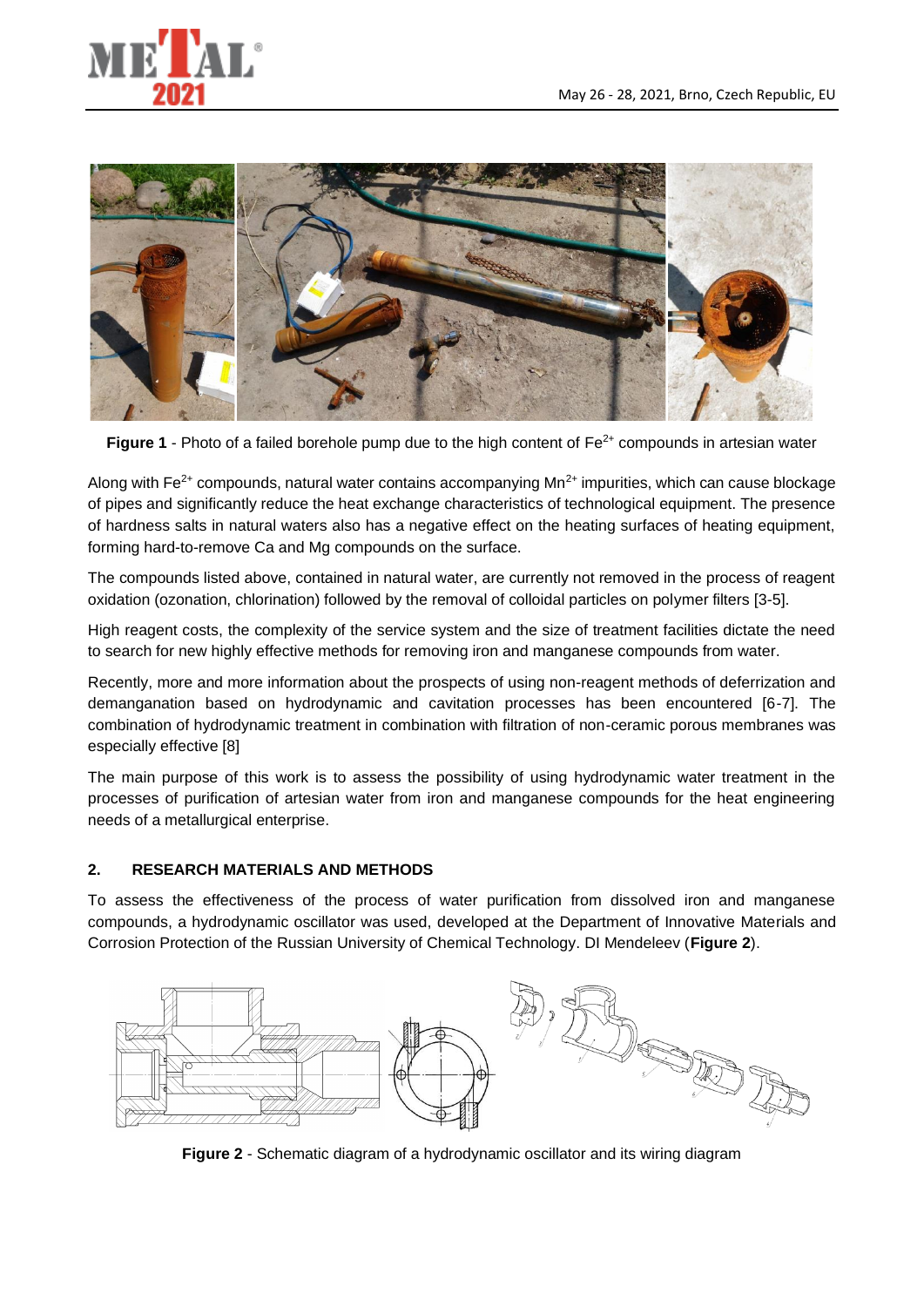



**Figure 1** - Photo of a failed borehole pump due to the high content of Fe<sup>2+</sup> compounds in artesian water

Along with  $Fe<sup>2+</sup>$  compounds, natural water contains accompanying  $Mn<sup>2+</sup>$  impurities, which can cause blockage of pipes and significantly reduce the heat exchange characteristics of technological equipment. The presence of hardness salts in natural waters also has a negative effect on the heating surfaces of heating equipment, forming hard-to-remove Ca and Mg compounds on the surface.

The compounds listed above, contained in natural water, are currently not removed in the process of reagent oxidation (ozonation, chlorination) followed by the removal of colloidal particles on polymer filters [3-5].

High reagent costs, the complexity of the service system and the size of treatment facilities dictate the need to search for new highly effective methods for removing iron and manganese compounds from water.

Recently, more and more information about the prospects of using non-reagent methods of deferrization and demanganation based on hydrodynamic and cavitation processes has been encountered [6-7]. The combination of hydrodynamic treatment in combination with filtration of non-ceramic porous membranes was especially effective [8]

The main purpose of this work is to assess the possibility of using hydrodynamic water treatment in the processes of purification of artesian water from iron and manganese compounds for the heat engineering needs of a metallurgical enterprise.

# **2. RESEARCH MATERIALS AND METHODS**

To assess the effectiveness of the process of water purification from dissolved iron and manganese compounds, a hydrodynamic oscillator was used, developed at the Department of Innovative Materials and Corrosion Protection of the Russian University of Chemical Technology. DI Mendeleev (**Figure 2**).



**Figure 2** - Schematic diagram of a hydrodynamic oscillator and its wiring diagram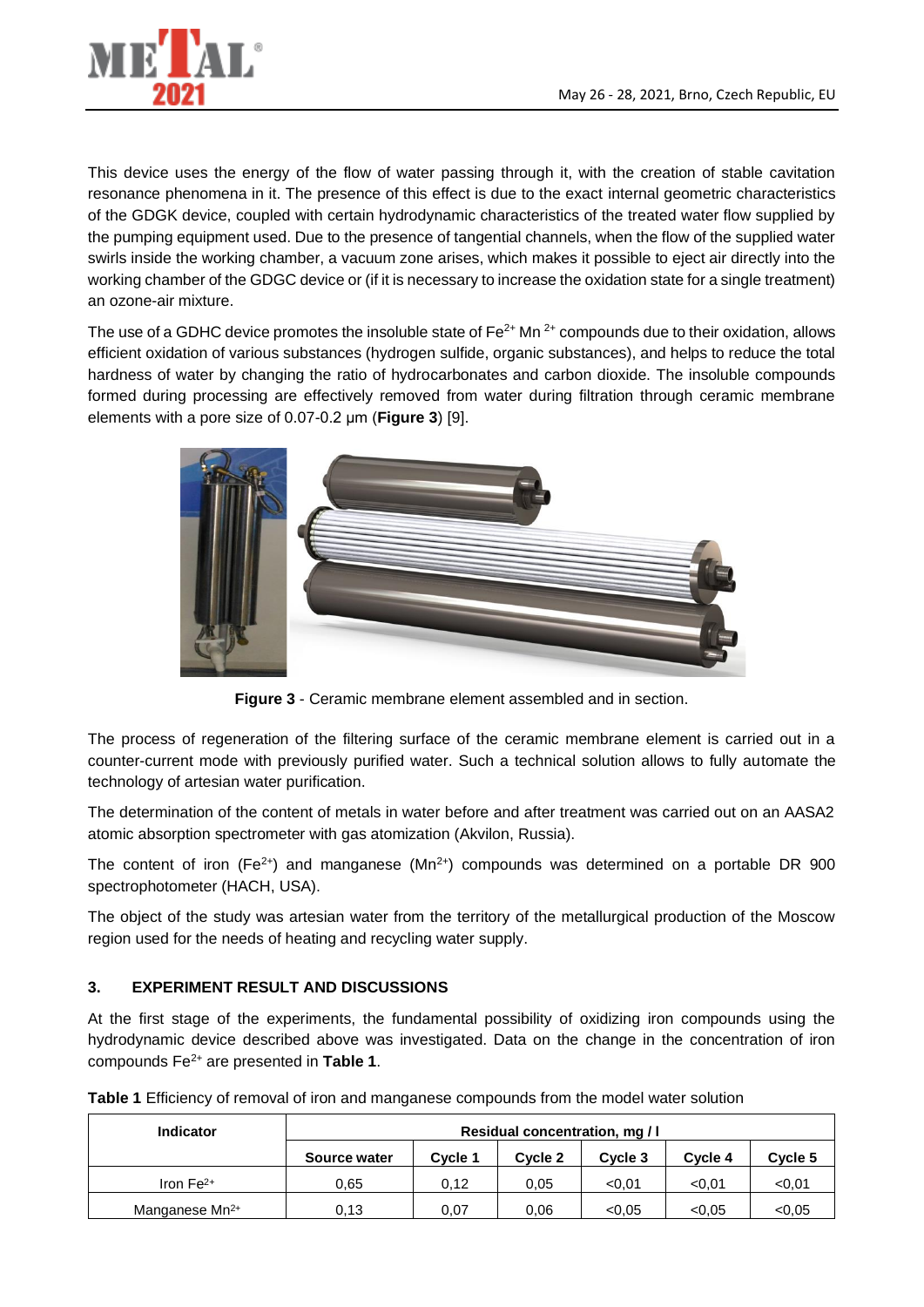

This device uses the energy of the flow of water passing through it, with the creation of stable cavitation resonance phenomena in it. The presence of this effect is due to the exact internal geometric characteristics of the GDGK device, coupled with certain hydrodynamic characteristics of the treated water flow supplied by the pumping equipment used. Due to the presence of tangential channels, when the flow of the supplied water swirls inside the working chamber, a vacuum zone arises, which makes it possible to eject air directly into the working chamber of the GDGC device or (if it is necessary to increase the oxidation state for a single treatment) an ozone-air mixture.

The use of a GDHC device promotes the insoluble state of  $Fe<sup>2+</sup>$  Mn  $<sup>2+</sup>$  compounds due to their oxidation, allows</sup> efficient oxidation of various substances (hydrogen sulfide, organic substances), and helps to reduce the total hardness of water by changing the ratio of hydrocarbonates and carbon dioxide. The insoluble compounds formed during processing are effectively removed from water during filtration through ceramic membrane elements with a pore size of 0.07-0.2 μm (**Figure 3**) [9].



**Figure 3** - Ceramic membrane element assembled and in section.

The process of regeneration of the filtering surface of the ceramic membrane element is carried out in a counter-current mode with previously purified water. Such a technical solution allows to fully automate the technology of artesian water purification.

The determination of the content of metals in water before and after treatment was carried out on an AASA2 atomic absorption spectrometer with gas atomization (Akvilon, Russia).

The content of iron (Fe<sup>2+</sup>) and manganese (Mn<sup>2+</sup>) compounds was determined on a portable DR 900 spectrophotometer (HACH, USA).

The object of the study was artesian water from the territory of the metallurgical production of the Moscow region used for the needs of heating and recycling water supply.

# **3. EXPERIMENT RESULT AND DISCUSSIONS**

At the first stage of the experiments, the fundamental possibility of oxidizing iron compounds using the hydrodynamic device described above was investigated. Data on the change in the concentration of iron compounds Fe2+ are presented in **Table 1**.

| <b>Indicator</b>           | <b>Residual concentration, mg / I</b> |         |         |         |         |         |
|----------------------------|---------------------------------------|---------|---------|---------|---------|---------|
|                            | Source water                          | Cycle 1 | Cycle 2 | Cycle 3 | Cycle 4 | Cycle 5 |
| Iron $Fe2+$                | 0.65                                  | 0.12    | 0.05    | < 0.01  | < 0.01  | < 0.01  |
| Manganese Mn <sup>2+</sup> | 0.13                                  | 0.07    | 0.06    | < 0.05  | < 0.05  | < 0.05  |

**Table 1** Efficiency of removal of iron and manganese compounds from the model water solution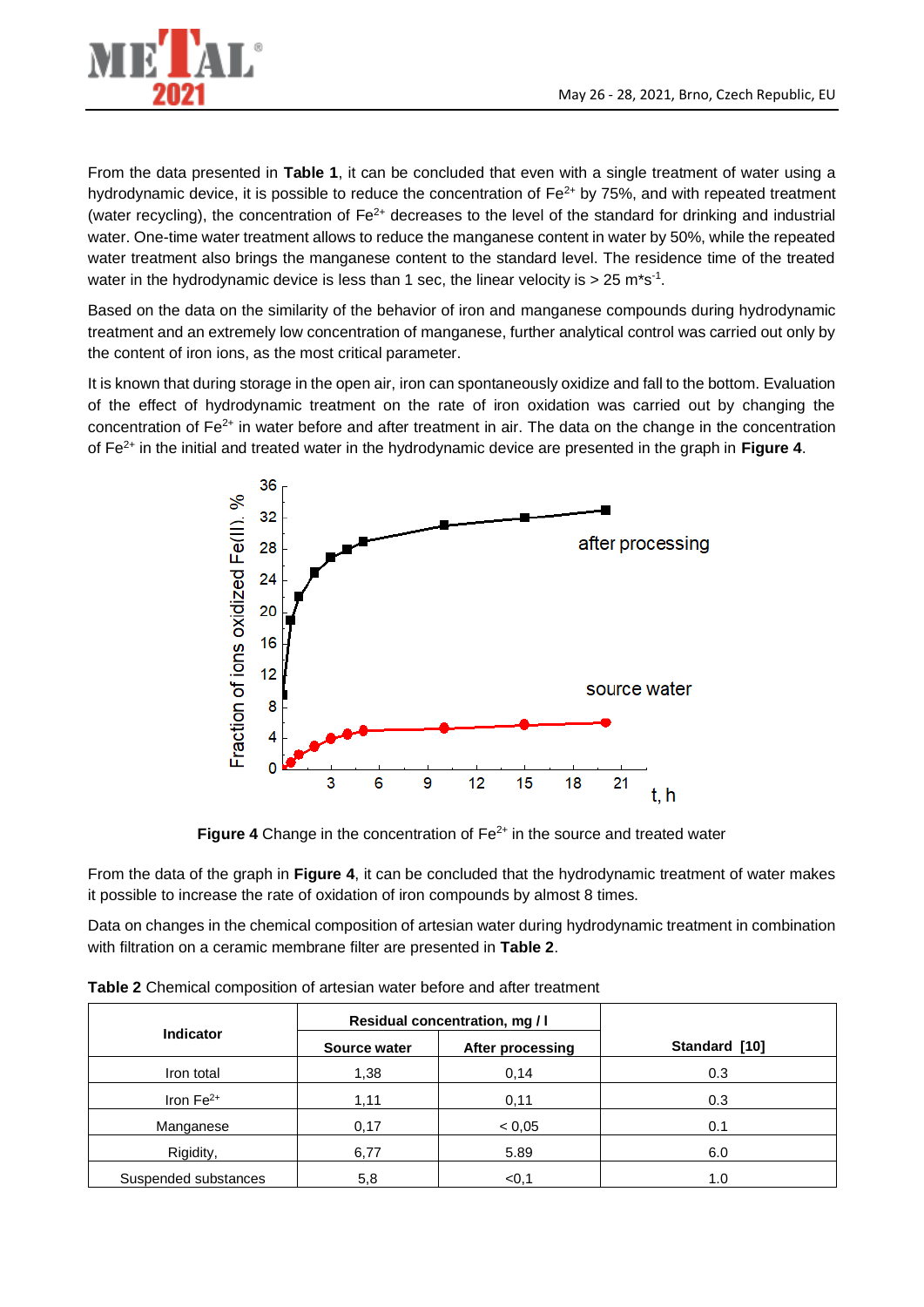

From the data presented in **Table 1**, it can be concluded that even with a single treatment of water using a hydrodynamic device, it is possible to reduce the concentration of  $Fe^{2+}$  by 75%, and with repeated treatment (water recycling), the concentration of  $Fe<sup>2+</sup>$  decreases to the level of the standard for drinking and industrial water. One-time water treatment allows to reduce the manganese content in water by 50%, while the repeated water treatment also brings the manganese content to the standard level. The residence time of the treated water in the hydrodynamic device is less than 1 sec, the linear velocity is  $>$  25 m<sup>\*</sup>s<sup>-1</sup>.

Based on the data on the similarity of the behavior of iron and manganese compounds during hydrodynamic treatment and an extremely low concentration of manganese, further analytical control was carried out only by the content of iron ions, as the most critical parameter.

It is known that during storage in the open air, iron can spontaneously oxidize and fall to the bottom. Evaluation of the effect of hydrodynamic treatment on the rate of iron oxidation was carried out by changing the concentration of Fe2+ in water before and after treatment in air. The data on the change in the concentration of Fe2+ in the initial and treated water in the hydrodynamic device are presented in the graph in **Figure 4**.



**Figure 4** Change in the concentration of  $Fe<sup>2+</sup>$  in the source and treated water

From the data of the graph in **Figure 4**, it can be concluded that the hydrodynamic treatment of water makes it possible to increase the rate of oxidation of iron compounds by almost 8 times.

Data on changes in the chemical composition of artesian water during hydrodynamic treatment in combination with filtration on a ceramic membrane filter are presented in **Table 2**.

| <b>Indicator</b>     |              | Residual concentration, mg / I |               |
|----------------------|--------------|--------------------------------|---------------|
|                      | Source water | After processing               | Standard [10] |
| Iron total           | 1,38         | 0,14                           | 0.3           |
| Iron $Fe2+$          | 1,11         | 0,11                           | 0.3           |
| Manganese            | 0,17         | < 0,05                         | 0.1           |
| Rigidity,            | 6,77         | 5.89                           | 6.0           |
| Suspended substances | 5,8          | < 0, 1                         | 1.0           |

**Table 2** Chemical composition of artesian water before and after treatment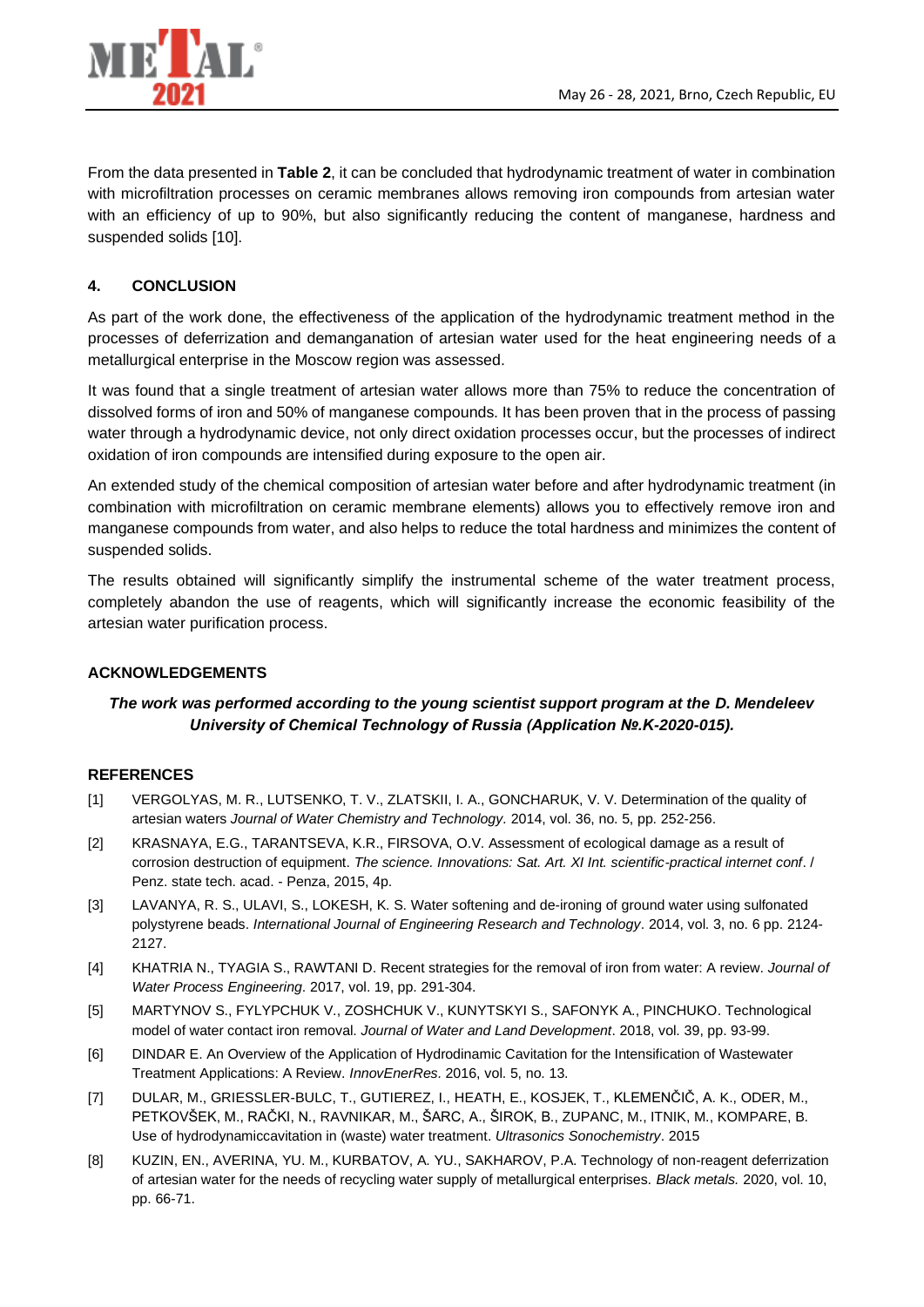

From the data presented in **Table 2**, it can be concluded that hydrodynamic treatment of water in combination with microfiltration processes on ceramic membranes allows removing iron compounds from artesian water with an efficiency of up to 90%, but also significantly reducing the content of manganese, hardness and suspended solids [10].

### **4. CONCLUSION**

As part of the work done, the effectiveness of the application of the hydrodynamic treatment method in the processes of deferrization and demanganation of artesian water used for the heat engineering needs of a metallurgical enterprise in the Moscow region was assessed.

It was found that a single treatment of artesian water allows more than 75% to reduce the concentration of dissolved forms of iron and 50% of manganese compounds. It has been proven that in the process of passing water through a hydrodynamic device, not only direct oxidation processes occur, but the processes of indirect oxidation of iron compounds are intensified during exposure to the open air.

An extended study of the chemical composition of artesian water before and after hydrodynamic treatment (in combination with microfiltration on ceramic membrane elements) allows you to effectively remove iron and manganese compounds from water, and also helps to reduce the total hardness and minimizes the content of suspended solids.

The results obtained will significantly simplify the instrumental scheme of the water treatment process, completely abandon the use of reagents, which will significantly increase the economic feasibility of the artesian water purification process.

### **ACKNOWLEDGEMENTS**

# *The work was performed according to the young scientist support program at the D. Mendeleev University of Chemical Technology of Russia (Application №.K-2020-015).*

### **REFERENCES**

- [1] VERGOLYAS, M. R., LUTSENKO, T. V., ZLATSKII, I. A., GONCHARUK, V. V. Determination of the quality of artesian waters *Journal of Water Chemistry and Technology.* 2014, vol. 36, no. 5, pp. 252-256.
- [2] KRASNAYA, E.G., TARANTSEVA, K.R., FIRSOVA, O.V. Assessment of ecological damage as a result of corrosion destruction of equipment. *The science. Innovations: Sat. Art. XI Int. scientific-practical internet conf*. / Penz. state tech. acad. - Penza, 2015, 4p.
- [3] LAVANYA, R. S., ULAVI, S., LOKESH, K. S. Water softening and de-ironing of ground water using sulfonated polystyrene beads. *International Journal of Engineering Research and Technology*. 2014, vol. 3, no. 6 pp. 2124- 2127.
- [4] KHATRIA N., TYAGIA S., RAWTANI D. Recent strategies for the removal of iron from water: A review. *Journal of Water Process Engineering*. 2017, vol. 19, pp. 291-304.
- [5] MARTYNOV S., FYLYPCHUK V., ZOSHCHUK V., KUNYTSKYI S., SAFONYK A., PINCHUKO. Technological model of water contact iron removal. *Journal of Water and Land Development*. 2018, vol. 39, pp. 93-99.
- [6] DINDAR E. An Overview of the Application of Hydrodinamic Cavitation for the Intensification of Wastewater Treatment Applications: A Review. *InnovEnerRes.* 2016, vol. 5, no. 13.
- [7] DULAR, M., GRIESSLER-BULC, T., GUTIEREZ, I., HEATH, E., KOSJEK, T., KLEMENČIČ, A. K., ODER, M., PETKOVŠEK, M., RAČKI, N., RAVNIKAR, M., ŠARC, A., ŠIROK, B., ZUPANC, M., ITNIK, M., KOMPARE, B. Use of hydrodynamiccavitation in (waste) water treatment. *Ultrasonics Sonochemistry*. 2015
- [8] KUZIN, EN., AVERINA, YU. M., KURBATOV, A. YU., SAKHAROV, P.A. Technology of non-reagent deferrization of artesian water for the needs of recycling water supply of metallurgical enterprises*. Black metals.* 2020, vol. 10, pp. 66-71.